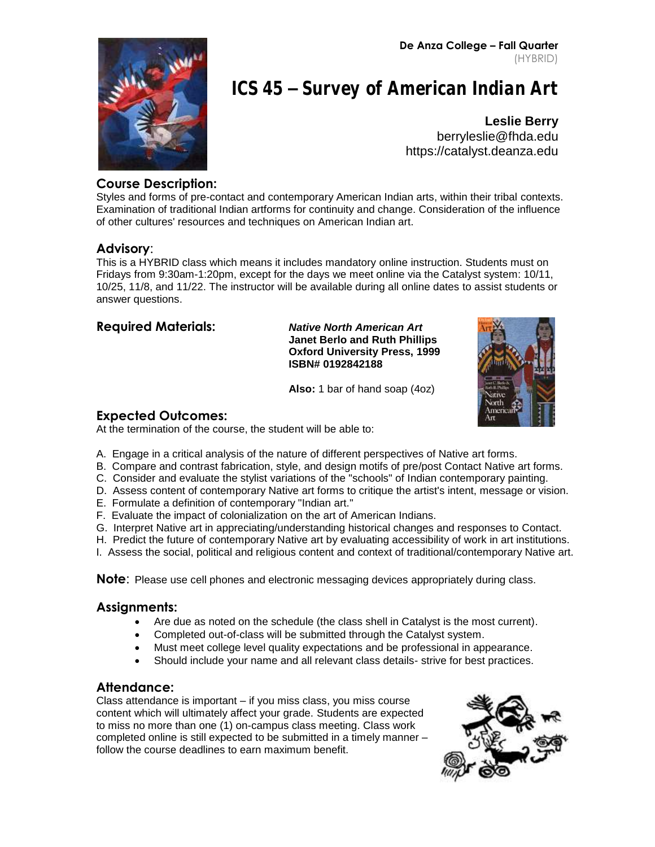**De Anza College – Fall Quarter** (HYBRID)



# **ICS 45 - Survey of American Indian Art**

**Leslie Berry** [berryleslie@fhda.edu](mailto:Lberry4933@aol.com) https://catalyst.deanza.edu

## **Course Description:**

Styles and forms of pre-contact and contemporary American Indian arts, within their tribal contexts. Examination of traditional Indian artforms for continuity and change. Consideration of the influence of other cultures' resources and techniques on American Indian art.

#### **Advisory**:

This is a HYBRID class which means it includes mandatory online instruction. Students must on Fridays from 9:30am-1:20pm, except for the days we meet online via the Catalyst system: 10/11, 10/25, 11/8, and 11/22. The instructor will be available during all online dates to assist students or answer questions.

| <b>Required Materials:</b> | <b>Native North American Art</b><br><b>Janet Berlo and Ruth Phillips</b><br><b>Oxford University Press, 1999</b><br>ISBN# 0192842188 |  |
|----------------------------|--------------------------------------------------------------------------------------------------------------------------------------|--|
|                            | Also: 1 bar of hand soap (4oz)                                                                                                       |  |

## **Expected Outcomes:**

At the termination of the course, the student will be able to:

- A. Engage in a critical analysis of the nature of different perspectives of Native art forms.
- B. Compare and contrast fabrication, style, and design motifs of pre/post Contact Native art forms.
- C. Consider and evaluate the stylist variations of the "schools" of Indian contemporary painting.
- D. Assess content of contemporary Native art forms to critique the artist's intent, message or vision.
- E. Formulate a definition of contemporary "Indian art."
- F. Evaluate the impact of colonialization on the art of American Indians.
- G. Interpret Native art in appreciating/understanding historical changes and responses to Contact.
- H. Predict the future of contemporary Native art by evaluating accessibility of work in art institutions.
- I. Assess the social, political and religious content and context of traditional/contemporary Native art.

**Note**: Please use cell phones and electronic messaging devices appropriately during class.

## **Assignments:**

- Are due as noted on the schedule (the class shell in Catalyst is the most current).
- Completed out-of-class will be submitted through the Catalyst system.
- Must meet college level quality expectations and be professional in appearance.
- Should include your name and all relevant class details- strive for best practices.

## **Attendance:**

Class attendance is important – if you miss class, you miss course content which will ultimately affect your grade. Students are expected to miss no more than one (1) on-campus class meeting. Class work completed online is still expected to be submitted in a timely manner – follow the course deadlines to earn maximum benefit.

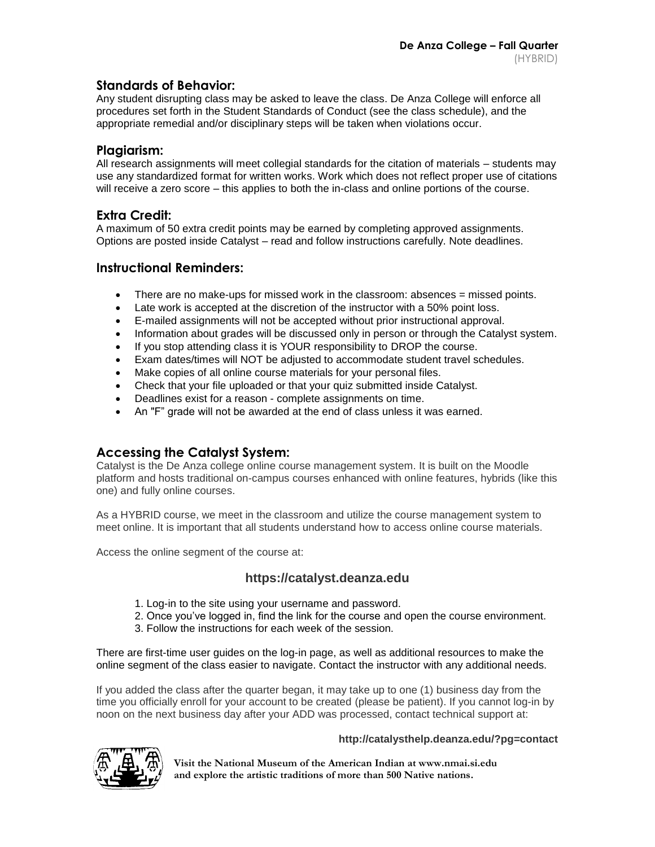### **Standards of Behavior:**

Any student disrupting class may be asked to leave the class. De Anza College will enforce all procedures set forth in the Student Standards of Conduct (see the class schedule), and the appropriate remedial and/or disciplinary steps will be taken when violations occur.

#### **Plagiarism:**

All research assignments will meet collegial standards for the citation of materials – students may use any standardized format for written works. Work which does not reflect proper use of citations will receive a zero score – this applies to both the in-class and online portions of the course.

#### **Extra Credit:**

A maximum of 50 extra credit points may be earned by completing approved assignments. Options are posted inside Catalyst – read and follow instructions carefully. Note deadlines.

#### **Instructional Reminders:**

- There are no make-ups for missed work in the classroom: absences = missed points.
- Late work is accepted at the discretion of the instructor with a 50% point loss.
- E-mailed assignments will not be accepted without prior instructional approval.
- Information about grades will be discussed only in person or through the Catalyst system.
- If you stop attending class it is YOUR responsibility to DROP the course.
- Exam dates/times will NOT be adjusted to accommodate student travel schedules.
- Make copies of all online course materials for your personal files.
- Check that your file uploaded or that your quiz submitted inside Catalyst.
- Deadlines exist for a reason complete assignments on time.
- An "F" grade will not be awarded at the end of class unless it was earned.

## **Accessing the Catalyst System:**

Catalyst is the De Anza college online course management system. It is built on the Moodle platform and hosts traditional on-campus courses enhanced with online features, hybrids (like this one) and fully online courses.

As a HYBRID course, we meet in the classroom and utilize the course management system to meet online. It is important that all students understand how to access online course materials.

Access the online segment of the course at:

#### **https://catalyst.deanza.edu**

- 1. Log-in to the site using your username and password.
- 2. Once you've logged in, find the link for the course and open the course environment.
- 3. Follow the instructions for each week of the session.

There are first-time user guides on the log-in page, as well as additional resources to make the online segment of the class easier to navigate. Contact the instructor with any additional needs.

If you added the class after the quarter began, it may take up to one (1) business day from the time you officially enroll for your account to be created (please be patient). If you cannot log-in by noon on the next business day after your ADD was processed, contact technical support at:

#### **http://catalysthelp.deanza.edu/?pg=contact**



**Visit the National Museum of the American Indian at www.nmai.si.edu and explore the artistic traditions of more than 500 Native nations.**